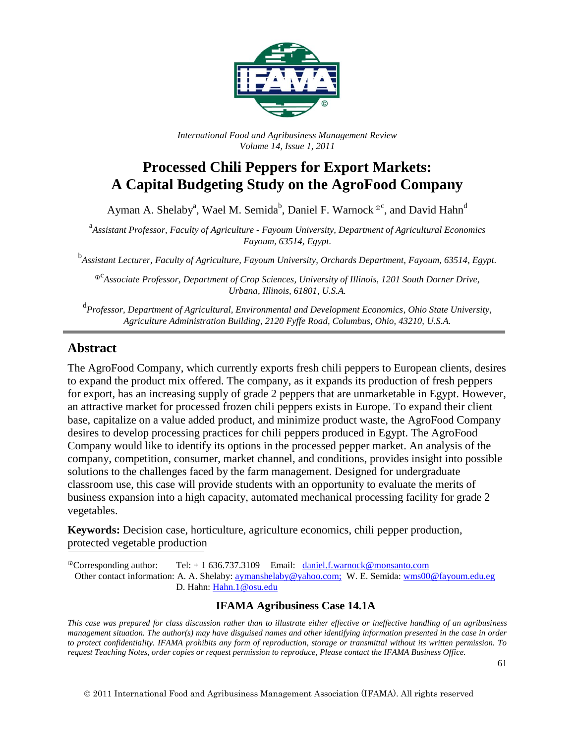

*International Food and Agribusiness Management Review Volume 14, Issue 1, 2011*

# **Processed Chili Peppers for Export Markets: A Capital Budgeting Study on the AgroFood Company**

Ayman A. Shelaby<sup>a</sup>, Wael M. Semida<sup>b</sup>, Daniel F. Warnock  $^{\mathfrak{g}^{\mathbb{C}}}$ , and David Hahn<sup>d</sup>

a *Assistant Professor, Faculty of Agriculture - Fayoum University, Department of Agricultural Economics Fayoum, 63514, Egypt.*

b *Assistant Lecturer, Faculty of Agriculture, Fayoum University, Orchards Department, Fayoum, 63514, Egypt.*

c *Associate Professor, Department of Crop Sciences, University of Illinois, 1201 South Dorner Drive, Urbana, Illinois, 61801, U.S.A.*

d *Professor, Department of Agricultural, Environmental and Development Economics, Ohio State University, Agriculture Administration Building, 2120 Fyffe Road, Columbus, Ohio, 43210, U.S.A.*

#### **Abstract**

The AgroFood Company, which currently exports fresh chili peppers to European clients, desires to expand the product mix offered. The company, as it expands its production of fresh peppers for export, has an increasing supply of grade 2 peppers that are unmarketable in Egypt. However, an attractive market for processed frozen chili peppers exists in Europe. To expand their client base, capitalize on a value added product, and minimize product waste, the AgroFood Company desires to develop processing practices for chili peppers produced in Egypt. The AgroFood Company would like to identify its options in the processed pepper market. An analysis of the company, competition, consumer, market channel, and conditions, provides insight into possible solutions to the challenges faced by the farm management. Designed for undergraduate classroom use, this case will provide students with an opportunity to evaluate the merits of business expansion into a high capacity, automated mechanical processing facility for grade 2 vegetables.

**Keywords:** Decision case, horticulture, agriculture economics, chili pepper production, protected vegetable production

 $^{\circ}$ Corresponding author: Tel: + 1 636.737.3109 Email: [daniel.f.warnock@monsanto.com](mailto:daniel.f.warnock@monsanto.com) Other contact information: A. A. Shelaby: [aymanshelaby@yahoo.com;](mailto:aymanshelaby@yahoo.com) W. E. Semida[: wms00@fayoum.edu.eg](mailto:wms00@fayoum.edu.eg) D. Hahn[: Hahn.1@osu.edu](mailto:Hahn.1@osu.edu)

#### **IFAMA Agribusiness Case 14.1A**

*This case was prepared for class discussion rather than to illustrate either effective or ineffective handling of an agribusiness management situation. The author(s) may have disguised names and other identifying information presented in the case in order to protect confidentiality. IFAMA prohibits any form of reproduction, storage or transmittal without its written permission. To request Teaching Notes, order copies or request permission to reproduce, Please contact the IFAMA Business Office.*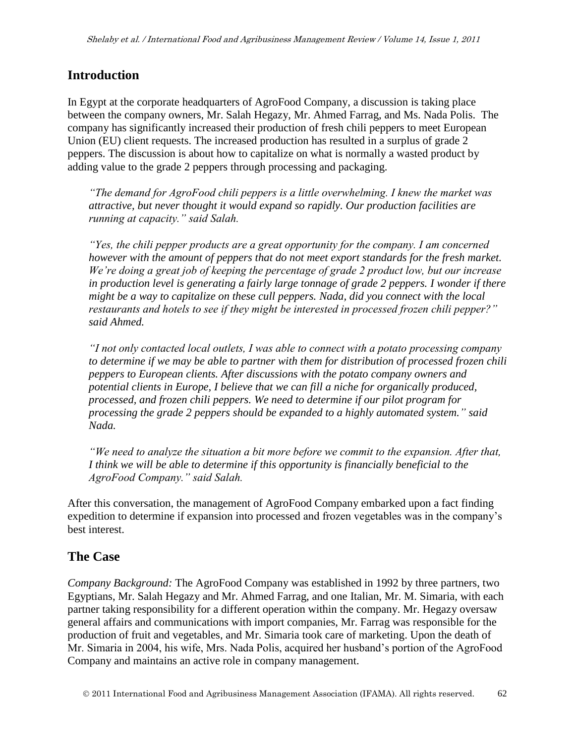#### **Introduction**

In Egypt at the corporate headquarters of AgroFood Company, a discussion is taking place between the company owners, Mr. Salah Hegazy, Mr. Ahmed Farrag, and Ms. Nada Polis. The company has significantly increased their production of fresh chili peppers to meet European Union (EU) client requests. The increased production has resulted in a surplus of grade 2 peppers. The discussion is about how to capitalize on what is normally a wasted product by adding value to the grade 2 peppers through processing and packaging.

*"The demand for AgroFood chili peppers is a little overwhelming. I knew the market was attractive, but never thought it would expand so rapidly. Our production facilities are running at capacity." said Salah.*

*"Yes, the chili pepper products are a great opportunity for the company. I am concerned however with the amount of peppers that do not meet export standards for the fresh market. We're doing a great job of keeping the percentage of grade 2 product low, but our increase in production level is generating a fairly large tonnage of grade 2 peppers. I wonder if there might be a way to capitalize on these cull peppers. Nada, did you connect with the local restaurants and hotels to see if they might be interested in processed frozen chili pepper?" said Ahmed.* 

*"I not only contacted local outlets, I was able to connect with a potato processing company to determine if we may be able to partner with them for distribution of processed frozen chili peppers to European clients. After discussions with the potato company owners and potential clients in Europe, I believe that we can fill a niche for organically produced, processed, and frozen chili peppers. We need to determine if our pilot program for processing the grade 2 peppers should be expanded to a highly automated system." said Nada.*

*"We need to analyze the situation a bit more before we commit to the expansion. After that, I think we will be able to determine if this opportunity is financially beneficial to the AgroFood Company." said Salah.*

After this conversation, the management of AgroFood Company embarked upon a fact finding expedition to determine if expansion into processed and frozen vegetables was in the company's best interest.

#### **The Case**

*Company Background:* The AgroFood Company was established in 1992 by three partners, two Egyptians, Mr. Salah Hegazy and Mr. Ahmed Farrag, and one Italian, Mr. M. Simaria, with each partner taking responsibility for a different operation within the company. Mr. Hegazy oversaw general affairs and communications with import companies, Mr. Farrag was responsible for the production of fruit and vegetables, and Mr. Simaria took care of marketing. Upon the death of Mr. Simaria in 2004, his wife, Mrs. Nada Polis, acquired her husband's portion of the AgroFood Company and maintains an active role in company management.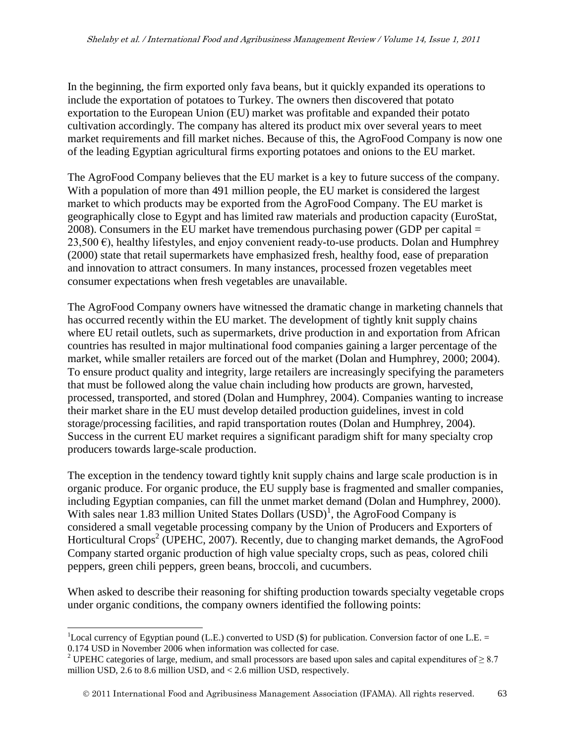In the beginning, the firm exported only fava beans, but it quickly expanded its operations to include the exportation of potatoes to Turkey. The owners then discovered that potato exportation to the European Union (EU) market was profitable and expanded their potato cultivation accordingly. The company has altered its product mix over several years to meet market requirements and fill market niches. Because of this, the AgroFood Company is now one of the leading Egyptian agricultural firms exporting potatoes and onions to the EU market.

The AgroFood Company believes that the EU market is a key to future success of the company. With a population of more than 491 million people, the EU market is considered the largest market to which products may be exported from the AgroFood Company. The EU market is geographically close to Egypt and has limited raw materials and production capacity (EuroStat, 2008). Consumers in the EU market have tremendous purchasing power (GDP per capital = 23,500  $\epsilon$ ), healthy lifestyles, and enjoy convenient ready-to-use products. Dolan and Humphrey (2000) state that retail supermarkets have emphasized fresh, healthy food, ease of preparation and innovation to attract consumers. In many instances, processed frozen vegetables meet consumer expectations when fresh vegetables are unavailable.

The AgroFood Company owners have witnessed the dramatic change in marketing channels that has occurred recently within the EU market. The development of tightly knit supply chains where EU retail outlets, such as supermarkets, drive production in and exportation from African countries has resulted in major multinational food companies gaining a larger percentage of the market, while smaller retailers are forced out of the market (Dolan and Humphrey, 2000; 2004). To ensure product quality and integrity, large retailers are increasingly specifying the parameters that must be followed along the value chain including how products are grown, harvested, processed, transported, and stored (Dolan and Humphrey, 2004). Companies wanting to increase their market share in the EU must develop detailed production guidelines, invest in cold storage/processing facilities, and rapid transportation routes (Dolan and Humphrey, 2004). Success in the current EU market requires a significant paradigm shift for many specialty crop producers towards large-scale production.

The exception in the tendency toward tightly knit supply chains and large scale production is in organic produce. For organic produce, the EU supply base is fragmented and smaller companies, including Egyptian companies, can fill the unmet market demand (Dolan and Humphrey, 2000). With sales near 1.83 million United States Dollars  $(USD)^1$ , the AgroFood Company is considered a small vegetable processing company by the Union of Producers and Exporters of Horticultural Crops<sup>2</sup> (UPEHC, 2007). Recently, due to changing market demands, the AgroFood Company started organic production of high value specialty crops, such as peas, colored chili peppers, green chili peppers, green beans, broccoli, and cucumbers.

When asked to describe their reasoning for shifting production towards specialty vegetable crops under organic conditions, the company owners identified the following points:

 $\overline{\phantom{a}}$ 

<sup>&</sup>lt;sup>1</sup>Local currency of Egyptian pound (L.E.) converted to USD (\$) for publication. Conversion factor of one L.E. = 0.174 USD in November 2006 when information was collected for case.

<sup>&</sup>lt;sup>2</sup> UPEHC categories of large, medium, and small processors are based upon sales and capital expenditures of  $\geq 8.7$ million USD, 2.6 to 8.6 million USD, and < 2.6 million USD, respectively.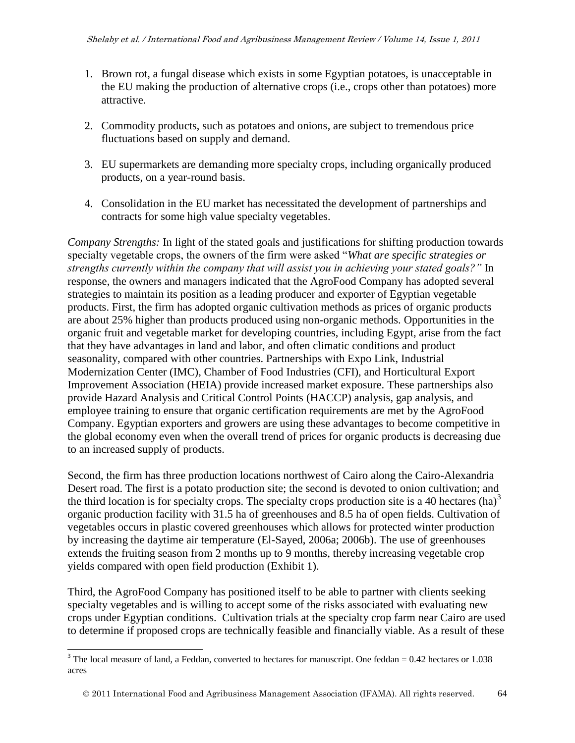- 1. Brown rot, a fungal disease which exists in some Egyptian potatoes, is unacceptable in the EU making the production of alternative crops (i.e., crops other than potatoes) more attractive.
- 2. Commodity products, such as potatoes and onions, are subject to tremendous price fluctuations based on supply and demand.
- 3. EU supermarkets are demanding more specialty crops, including organically produced products, on a year-round basis.
- 4. Consolidation in the EU market has necessitated the development of partnerships and contracts for some high value specialty vegetables.

*Company Strengths:* In light of the stated goals and justifications for shifting production towards specialty vegetable crops, the owners of the firm were asked "*What are specific strategies or strengths currently within the company that will assist you in achieving your stated goals?"* In response, the owners and managers indicated that the AgroFood Company has adopted several strategies to maintain its position as a leading producer and exporter of Egyptian vegetable products. First, the firm has adopted organic cultivation methods as prices of organic products are about 25% higher than products produced using non-organic methods. Opportunities in the organic fruit and vegetable market for developing countries, including Egypt, arise from the fact that they have advantages in land and labor, and often climatic conditions and product seasonality, compared with other countries. Partnerships with Expo Link, Industrial Modernization Center (IMC), Chamber of Food Industries (CFI), and Horticultural Export Improvement Association (HEIA) provide increased market exposure. These partnerships also provide Hazard Analysis and Critical Control Points (HACCP) analysis, gap analysis, and employee training to ensure that organic certification requirements are met by the AgroFood Company. Egyptian exporters and growers are using these advantages to become competitive in the global economy even when the overall trend of prices for organic products is decreasing due to an increased supply of products.

Second, the firm has three production locations northwest of Cairo along the Cairo-Alexandria Desert road. The first is a potato production site; the second is devoted to onion cultivation; and the third location is for specialty crops. The specialty crops production site is a 40 hectares  $(ha)^3$ organic production facility with 31.5 ha of greenhouses and 8.5 ha of open fields. Cultivation of vegetables occurs in plastic covered greenhouses which allows for protected winter production by increasing the daytime air temperature (El-Sayed, 2006a; 2006b). The use of greenhouses extends the fruiting season from 2 months up to 9 months, thereby increasing vegetable crop yields compared with open field production (Exhibit 1).

Third, the AgroFood Company has positioned itself to be able to partner with clients seeking specialty vegetables and is willing to accept some of the risks associated with evaluating new crops under Egyptian conditions. Cultivation trials at the specialty crop farm near Cairo are used to determine if proposed crops are technically feasible and financially viable. As a result of these

<sup>&</sup>lt;sup>3</sup> The local measure of land, a Feddan, converted to hectares for manuscript. One feddan = 0.42 hectares or 1.038 acres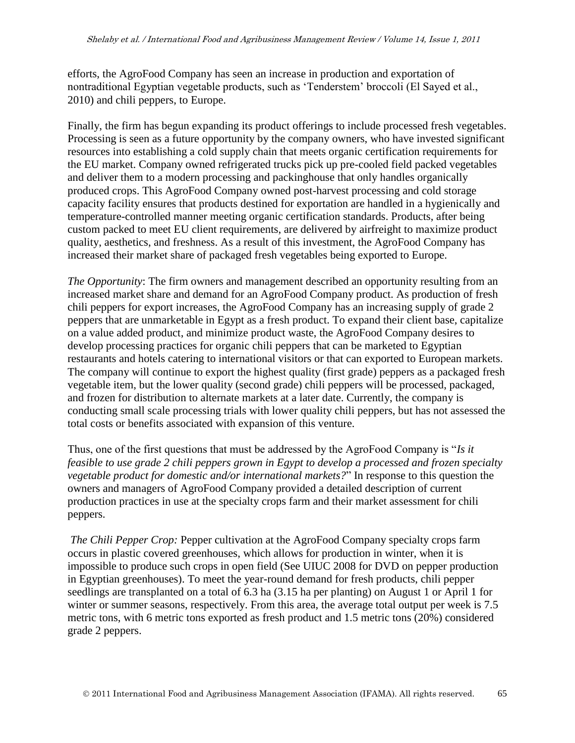efforts, the AgroFood Company has seen an increase in production and exportation of nontraditional Egyptian vegetable products, such as 'Tenderstem' broccoli (El Sayed et al., 2010) and chili peppers, to Europe.

Finally, the firm has begun expanding its product offerings to include processed fresh vegetables. Processing is seen as a future opportunity by the company owners, who have invested significant resources into establishing a cold supply chain that meets organic certification requirements for the EU market. Company owned refrigerated trucks pick up pre-cooled field packed vegetables and deliver them to a modern processing and packinghouse that only handles organically produced crops. This AgroFood Company owned post-harvest processing and cold storage capacity facility ensures that products destined for exportation are handled in a hygienically and temperature-controlled manner meeting organic certification standards. Products, after being custom packed to meet EU client requirements, are delivered by airfreight to maximize product quality, aesthetics, and freshness. As a result of this investment, the AgroFood Company has increased their market share of packaged fresh vegetables being exported to Europe.

*The Opportunity*: The firm owners and management described an opportunity resulting from an increased market share and demand for an AgroFood Company product. As production of fresh chili peppers for export increases, the AgroFood Company has an increasing supply of grade 2 peppers that are unmarketable in Egypt as a fresh product. To expand their client base, capitalize on a value added product, and minimize product waste, the AgroFood Company desires to develop processing practices for organic chili peppers that can be marketed to Egyptian restaurants and hotels catering to international visitors or that can exported to European markets. The company will continue to export the highest quality (first grade) peppers as a packaged fresh vegetable item, but the lower quality (second grade) chili peppers will be processed, packaged, and frozen for distribution to alternate markets at a later date. Currently, the company is conducting small scale processing trials with lower quality chili peppers, but has not assessed the total costs or benefits associated with expansion of this venture.

Thus, one of the first questions that must be addressed by the AgroFood Company is "*Is it feasible to use grade 2 chili peppers grown in Egypt to develop a processed and frozen specialty vegetable product for domestic and/or international markets?*" In response to this question the owners and managers of AgroFood Company provided a detailed description of current production practices in use at the specialty crops farm and their market assessment for chili peppers.

*The Chili Pepper Crop:* Pepper cultivation at the AgroFood Company specialty crops farm occurs in plastic covered greenhouses, which allows for production in winter, when it is impossible to produce such crops in open field (See UIUC 2008 for DVD on pepper production in Egyptian greenhouses). To meet the year-round demand for fresh products, chili pepper seedlings are transplanted on a total of 6.3 ha (3.15 ha per planting) on August 1 or April 1 for winter or summer seasons, respectively. From this area, the average total output per week is 7.5 metric tons, with 6 metric tons exported as fresh product and 1.5 metric tons (20%) considered grade 2 peppers.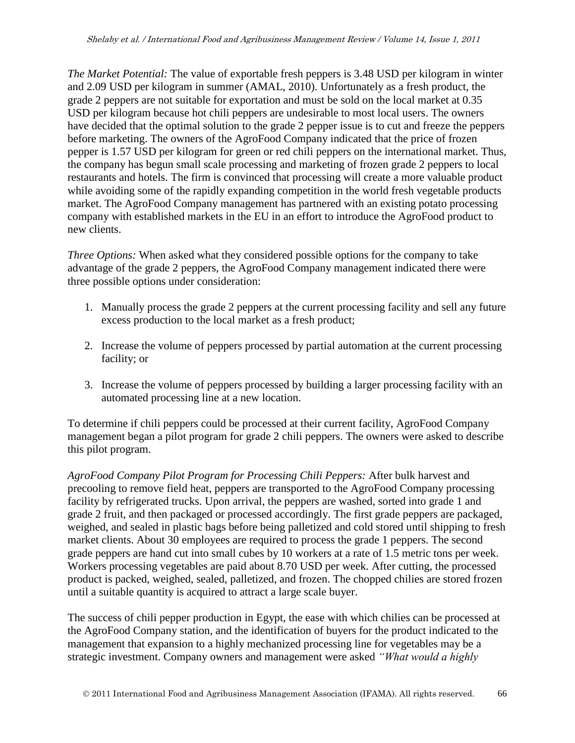*The Market Potential:* The value of exportable fresh peppers is 3.48 USD per kilogram in winter and 2.09 USD per kilogram in summer (AMAL, 2010). Unfortunately as a fresh product, the grade 2 peppers are not suitable for exportation and must be sold on the local market at 0.35 USD per kilogram because hot chili peppers are undesirable to most local users. The owners have decided that the optimal solution to the grade 2 pepper issue is to cut and freeze the peppers before marketing. The owners of the AgroFood Company indicated that the price of frozen pepper is 1.57 USD per kilogram for green or red chili peppers on the international market. Thus, the company has begun small scale processing and marketing of frozen grade 2 peppers to local restaurants and hotels. The firm is convinced that processing will create a more valuable product while avoiding some of the rapidly expanding competition in the world fresh vegetable products market. The AgroFood Company management has partnered with an existing potato processing company with established markets in the EU in an effort to introduce the AgroFood product to new clients.

*Three Options:* When asked what they considered possible options for the company to take advantage of the grade 2 peppers, the AgroFood Company management indicated there were three possible options under consideration:

- 1. Manually process the grade 2 peppers at the current processing facility and sell any future excess production to the local market as a fresh product;
- 2. Increase the volume of peppers processed by partial automation at the current processing facility; or
- 3. Increase the volume of peppers processed by building a larger processing facility with an automated processing line at a new location.

To determine if chili peppers could be processed at their current facility, AgroFood Company management began a pilot program for grade 2 chili peppers. The owners were asked to describe this pilot program.

*AgroFood Company Pilot Program for Processing Chili Peppers:* After bulk harvest and precooling to remove field heat, peppers are transported to the AgroFood Company processing facility by refrigerated trucks. Upon arrival, the peppers are washed, sorted into grade 1 and grade 2 fruit, and then packaged or processed accordingly. The first grade peppers are packaged, weighed, and sealed in plastic bags before being palletized and cold stored until shipping to fresh market clients. About 30 employees are required to process the grade 1 peppers. The second grade peppers are hand cut into small cubes by 10 workers at a rate of 1.5 metric tons per week. Workers processing vegetables are paid about 8.70 USD per week. After cutting, the processed product is packed, weighed, sealed, palletized, and frozen. The chopped chilies are stored frozen until a suitable quantity is acquired to attract a large scale buyer.

The success of chili pepper production in Egypt, the ease with which chilies can be processed at the AgroFood Company station, and the identification of buyers for the product indicated to the management that expansion to a highly mechanized processing line for vegetables may be a strategic investment. Company owners and management were asked *"What would a highly*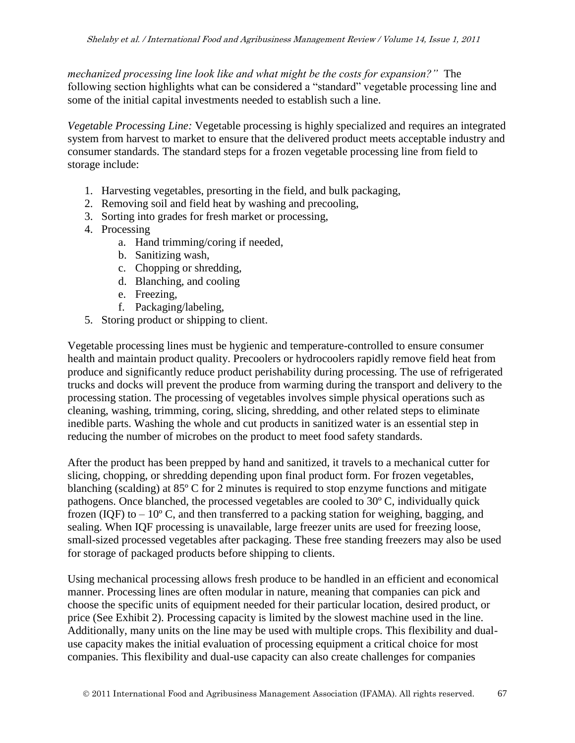*mechanized processing line look like and what might be the costs for expansion?"* The following section highlights what can be considered a "standard" vegetable processing line and some of the initial capital investments needed to establish such a line.

*Vegetable Processing Line:* Vegetable processing is highly specialized and requires an integrated system from harvest to market to ensure that the delivered product meets acceptable industry and consumer standards. The standard steps for a frozen vegetable processing line from field to storage include:

- 1. Harvesting vegetables, presorting in the field, and bulk packaging,
- 2. Removing soil and field heat by washing and precooling,
- 3. Sorting into grades for fresh market or processing,
- 4. Processing
	- a. Hand trimming/coring if needed,
	- b. Sanitizing wash,
	- c. Chopping or shredding,
	- d. Blanching, and cooling
	- e. Freezing,
	- f. Packaging/labeling,
- 5. Storing product or shipping to client.

Vegetable processing lines must be hygienic and temperature-controlled to ensure consumer health and maintain product quality. Precoolers or hydrocoolers rapidly remove field heat from produce and significantly reduce product perishability during processing. The use of refrigerated trucks and docks will prevent the produce from warming during the transport and delivery to the processing station. The processing of vegetables involves simple physical operations such as cleaning, washing, trimming, coring, slicing, shredding, and other related steps to eliminate inedible parts. Washing the whole and cut products in sanitized water is an essential step in reducing the number of microbes on the product to meet food safety standards.

After the product has been prepped by hand and sanitized, it travels to a mechanical cutter for slicing, chopping, or shredding depending upon final product form. For frozen vegetables, blanching (scalding) at 85º C for 2 minutes is required to stop enzyme functions and mitigate pathogens. Once blanched, the processed vegetables are cooled to 30º C, individually quick frozen (IQF) to  $-10^{\circ}$  C, and then transferred to a packing station for weighing, bagging, and sealing. When IQF processing is unavailable, large freezer units are used for freezing loose, small-sized processed vegetables after packaging. These free standing freezers may also be used for storage of packaged products before shipping to clients.

Using mechanical processing allows fresh produce to be handled in an efficient and economical manner. Processing lines are often modular in nature, meaning that companies can pick and choose the specific units of equipment needed for their particular location, desired product, or price (See Exhibit 2). Processing capacity is limited by the slowest machine used in the line. Additionally, many units on the line may be used with multiple crops. This flexibility and dualuse capacity makes the initial evaluation of processing equipment a critical choice for most companies. This flexibility and dual-use capacity can also create challenges for companies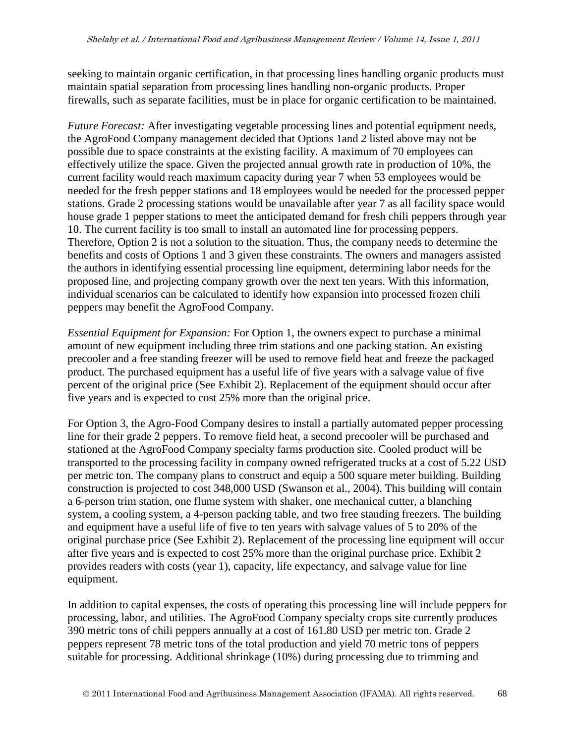seeking to maintain organic certification, in that processing lines handling organic products must maintain spatial separation from processing lines handling non-organic products. Proper firewalls, such as separate facilities, must be in place for organic certification to be maintained.

*Future Forecast:* After investigating vegetable processing lines and potential equipment needs, the AgroFood Company management decided that Options 1and 2 listed above may not be possible due to space constraints at the existing facility. A maximum of 70 employees can effectively utilize the space. Given the projected annual growth rate in production of 10%, the current facility would reach maximum capacity during year 7 when 53 employees would be needed for the fresh pepper stations and 18 employees would be needed for the processed pepper stations. Grade 2 processing stations would be unavailable after year 7 as all facility space would house grade 1 pepper stations to meet the anticipated demand for fresh chili peppers through year 10. The current facility is too small to install an automated line for processing peppers. Therefore, Option 2 is not a solution to the situation. Thus, the company needs to determine the benefits and costs of Options 1 and 3 given these constraints. The owners and managers assisted the authors in identifying essential processing line equipment, determining labor needs for the proposed line, and projecting company growth over the next ten years. With this information, individual scenarios can be calculated to identify how expansion into processed frozen chili peppers may benefit the AgroFood Company.

*Essential Equipment for Expansion:* For Option 1, the owners expect to purchase a minimal amount of new equipment including three trim stations and one packing station. An existing precooler and a free standing freezer will be used to remove field heat and freeze the packaged product. The purchased equipment has a useful life of five years with a salvage value of five percent of the original price (See Exhibit 2). Replacement of the equipment should occur after five years and is expected to cost 25% more than the original price.

For Option 3, the Agro-Food Company desires to install a partially automated pepper processing line for their grade 2 peppers. To remove field heat, a second precooler will be purchased and stationed at the AgroFood Company specialty farms production site. Cooled product will be transported to the processing facility in company owned refrigerated trucks at a cost of 5.22 USD per metric ton. The company plans to construct and equip a 500 square meter building. Building construction is projected to cost 348,000 USD (Swanson et al., 2004). This building will contain a 6-person trim station, one flume system with shaker, one mechanical cutter, a blanching system, a cooling system, a 4-person packing table, and two free standing freezers. The building and equipment have a useful life of five to ten years with salvage values of 5 to 20% of the original purchase price (See Exhibit 2). Replacement of the processing line equipment will occur after five years and is expected to cost 25% more than the original purchase price. Exhibit 2 provides readers with costs (year 1), capacity, life expectancy, and salvage value for line equipment.

In addition to capital expenses, the costs of operating this processing line will include peppers for processing, labor, and utilities. The AgroFood Company specialty crops site currently produces 390 metric tons of chili peppers annually at a cost of 161.80 USD per metric ton. Grade 2 peppers represent 78 metric tons of the total production and yield 70 metric tons of peppers suitable for processing. Additional shrinkage (10%) during processing due to trimming and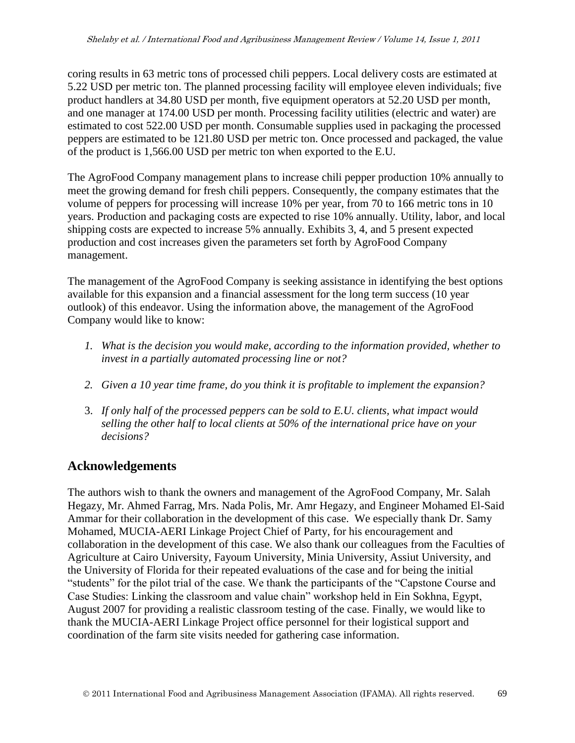coring results in 63 metric tons of processed chili peppers. Local delivery costs are estimated at 5.22 USD per metric ton. The planned processing facility will employee eleven individuals; five product handlers at 34.80 USD per month, five equipment operators at 52.20 USD per month, and one manager at 174.00 USD per month. Processing facility utilities (electric and water) are estimated to cost 522.00 USD per month. Consumable supplies used in packaging the processed peppers are estimated to be 121.80 USD per metric ton. Once processed and packaged, the value of the product is 1,566.00 USD per metric ton when exported to the E.U.

The AgroFood Company management plans to increase chili pepper production 10% annually to meet the growing demand for fresh chili peppers. Consequently, the company estimates that the volume of peppers for processing will increase 10% per year, from 70 to 166 metric tons in 10 years. Production and packaging costs are expected to rise 10% annually. Utility, labor, and local shipping costs are expected to increase 5% annually. Exhibits 3, 4, and 5 present expected production and cost increases given the parameters set forth by AgroFood Company management.

The management of the AgroFood Company is seeking assistance in identifying the best options available for this expansion and a financial assessment for the long term success (10 year outlook) of this endeavor. Using the information above, the management of the AgroFood Company would like to know:

- *1. What is the decision you would make, according to the information provided, whether to invest in a partially automated processing line or not?*
- *2. Given a 10 year time frame, do you think it is profitable to implement the expansion?*
- 3. *If only half of the processed peppers can be sold to E.U. clients, what impact would selling the other half to local clients at 50% of the international price have on your decisions?*

### **Acknowledgements**

The authors wish to thank the owners and management of the AgroFood Company, Mr. Salah Hegazy, Mr. Ahmed Farrag, Mrs. Nada Polis, Mr. Amr Hegazy, and Engineer Mohamed El-Said Ammar for their collaboration in the development of this case. We especially thank Dr. Samy Mohamed, MUCIA-AERI Linkage Project Chief of Party, for his encouragement and collaboration in the development of this case. We also thank our colleagues from the Faculties of Agriculture at Cairo University, Fayoum University, Minia University, Assiut University, and the University of Florida for their repeated evaluations of the case and for being the initial "students" for the pilot trial of the case. We thank the participants of the "Capstone Course and Case Studies: Linking the classroom and value chain" workshop held in Ein Sokhna, Egypt, August 2007 for providing a realistic classroom testing of the case. Finally, we would like to thank the MUCIA-AERI Linkage Project office personnel for their logistical support and coordination of the farm site visits needed for gathering case information.